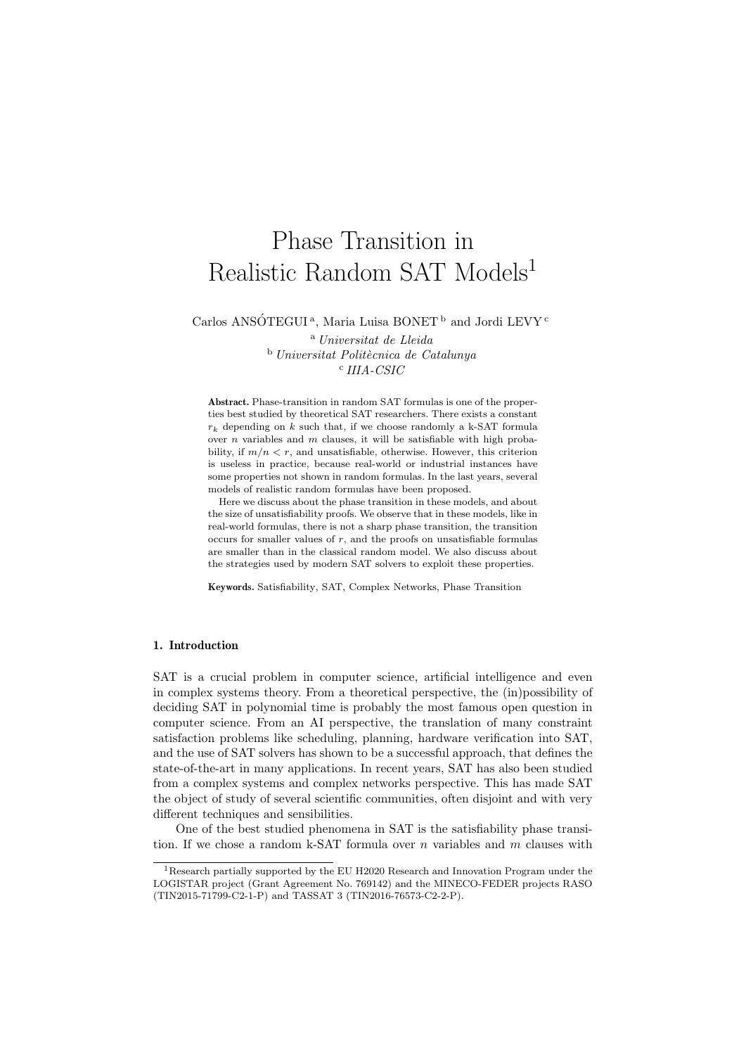# Phase Transition in Realistic Random SAT Models<sup>1</sup>

Carlos ANSÓTEGUI<sup>a</sup>, Maria Luisa BONET<sup>b</sup> and Jordi LEVY<sup>c</sup>

<sup>a</sup> Universitat de Lleida  $b$  Universitat Politècnica de Catalunya c IIIA-CSIC

Abstract. Phase-transition in random SAT formulas is one of the properties best studied by theoretical SAT researchers. There exists a constant  $r_k$  depending on k such that, if we choose randomly a k-SAT formula over  $n$  variables and  $m$  clauses, it will be satisfiable with high probability, if  $m/n < r$ , and unsatisfiable, otherwise. However, this criterion is useless in practice, because real-world or industrial instances have some properties not shown in random formulas. In the last years, several models of realistic random formulas have been proposed.

Here we discuss about the phase transition in these models, and about the size of unsatisfiability proofs. We observe that in these models, like in real-world formulas, there is not a sharp phase transition, the transition occurs for smaller values of  $r$ , and the proofs on unsatisfiable formulas are smaller than in the classical random model. We also discuss about the strategies used by modern SAT solvers to exploit these properties.

Keywords. Satisfiability, SAT, Complex Networks, Phase Transition

#### 1. Introduction

SAT is a crucial problem in computer science, artificial intelligence and even in complex systems theory. From a theoretical perspective, the (in)possibility of deciding SAT in polynomial time is probably the most famous open question in computer science. From an AI perspective, the translation of many constraint satisfaction problems like scheduling, planning, hardware verification into SAT, and the use of SAT solvers has shown to be a successful approach, that defines the state-of-the-art in many applications. In recent years, SAT has also been studied from a complex systems and complex networks perspective. This has made SAT the object of study of several scientific communities, often disjoint and with very different techniques and sensibilities.

One of the best studied phenomena in SAT is the satisfiability phase transition. If we chose a random k-SAT formula over  $n$  variables and  $m$  clauses with

<sup>&</sup>lt;sup>1</sup>Research partially supported by the EU H2020 Research and Innovation Program under the LOGISTAR project (Grant Agreement No. 769142) and the MINECO-FEDER projects RASO (TIN2015-71799-C2-1-P) and TASSAT 3 (TIN2016-76573-C2-2-P).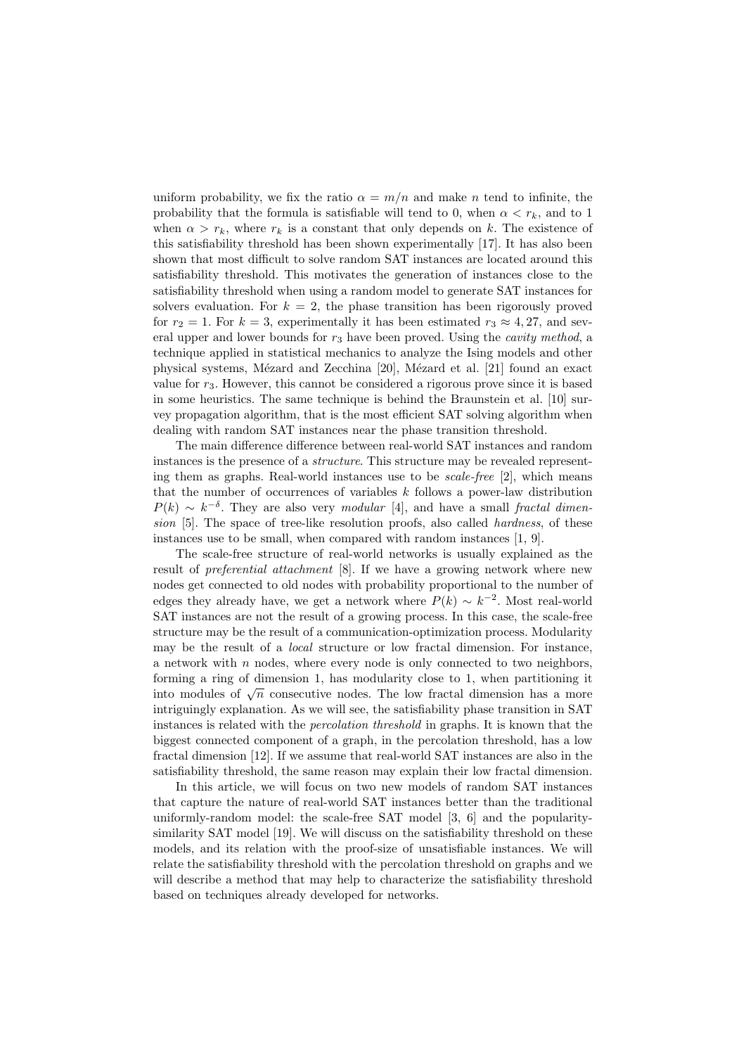uniform probability, we fix the ratio  $\alpha = m/n$  and make n tend to infinite, the probability that the formula is satisfiable will tend to 0, when  $\alpha < r_k$ , and to 1 when  $\alpha > r_k$ , where  $r_k$  is a constant that only depends on k. The existence of this satisfiability threshold has been shown experimentally [17]. It has also been shown that most difficult to solve random SAT instances are located around this satisfiability threshold. This motivates the generation of instances close to the satisfiability threshold when using a random model to generate SAT instances for solvers evaluation. For  $k = 2$ , the phase transition has been rigorously proved for  $r_2 = 1$ . For  $k = 3$ , experimentally it has been estimated  $r_3 \approx 4,27$ , and several upper and lower bounds for  $r_3$  have been proved. Using the *cavity method*, a technique applied in statistical mechanics to analyze the Ising models and other physical systems, Mézard and Zecchina  $[20]$ , Mézard et al.  $[21]$  found an exact value for  $r_3$ . However, this cannot be considered a rigorous prove since it is based in some heuristics. The same technique is behind the Braunstein et al. [10] survey propagation algorithm, that is the most efficient SAT solving algorithm when dealing with random SAT instances near the phase transition threshold.

The main difference difference between real-world SAT instances and random instances is the presence of a structure. This structure may be revealed representing them as graphs. Real-world instances use to be scale-free [2], which means that the number of occurrences of variables  $k$  follows a power-law distribution  $P(k) \sim k^{-\delta}$ . They are also very modular [4], and have a small fractal dimension [5]. The space of tree-like resolution proofs, also called *hardness*, of these instances use to be small, when compared with random instances [1, 9].

The scale-free structure of real-world networks is usually explained as the result of preferential attachment [8]. If we have a growing network where new nodes get connected to old nodes with probability proportional to the number of edges they already have, we get a network where  $P(k) \sim k^{-2}$ . Most real-world SAT instances are not the result of a growing process. In this case, the scale-free structure may be the result of a communication-optimization process. Modularity may be the result of a local structure or low fractal dimension. For instance, a network with  $n$  nodes, where every node is only connected to two neighbors, forming a ring of dimension 1, has modularity close to 1, when partitioning it forming a ring of dimension 1, has modularity close to 1, when partitioning it into modules of  $\sqrt{n}$  consecutive nodes. The low fractal dimension has a more intriguingly explanation. As we will see, the satisfiability phase transition in SAT instances is related with the percolation threshold in graphs. It is known that the biggest connected component of a graph, in the percolation threshold, has a low fractal dimension [12]. If we assume that real-world SAT instances are also in the satisfiability threshold, the same reason may explain their low fractal dimension.

In this article, we will focus on two new models of random SAT instances that capture the nature of real-world SAT instances better than the traditional uniformly-random model: the scale-free SAT model [3, 6] and the popularitysimilarity SAT model [19]. We will discuss on the satisfiability threshold on these models, and its relation with the proof-size of unsatisfiable instances. We will relate the satisfiability threshold with the percolation threshold on graphs and we will describe a method that may help to characterize the satisfiability threshold based on techniques already developed for networks.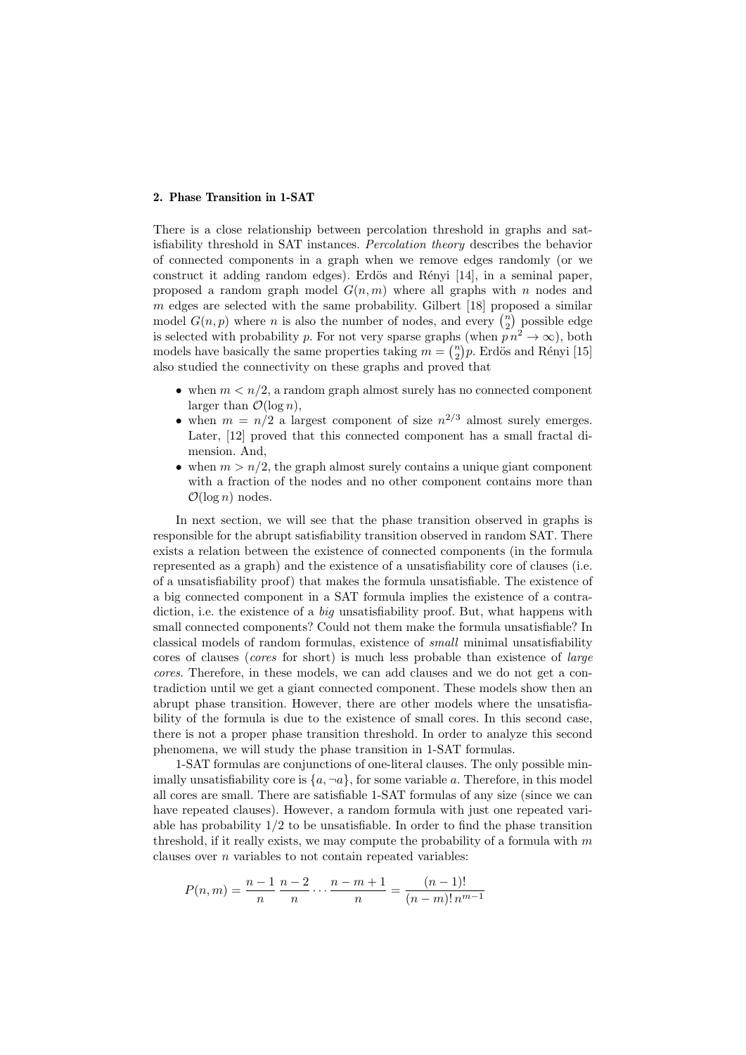# 2. Phase Transition in 1-SAT

There is a close relationship between percolation threshold in graphs and satisfiability threshold in SAT instances. Percolation theory describes the behavior of connected components in a graph when we remove edges randomly (or we construct it adding random edges). Erdös and Rényi  $[14]$ , in a seminal paper, proposed a random graph model  $G(n, m)$  where all graphs with n nodes and  $m$  edges are selected with the same probability. Gilbert [18] proposed a similar model  $G(n, p)$  where n is also the number of nodes, and every  $\binom{n}{2}$  possible edge is selected with probability p. For not very sparse graphs (when  $p n^2 \to \infty$ ), both models have basically the same properties taking  $m = \binom{n}{2}p$ . Erdös and Rényi [15] also studied the connectivity on these graphs and proved that

- when  $m < n/2$ , a random graph almost surely has no connected component larger than  $\mathcal{O}(\log n)$ ,
- when  $m = n/2$  a largest component of size  $n^{2/3}$  almost surely emerges. Later, [12] proved that this connected component has a small fractal dimension. And,
- when  $m > n/2$ , the graph almost surely contains a unique giant component with a fraction of the nodes and no other component contains more than  $\mathcal{O}(\log n)$  nodes.

In next section, we will see that the phase transition observed in graphs is responsible for the abrupt satisfiability transition observed in random SAT. There exists a relation between the existence of connected components (in the formula represented as a graph) and the existence of a unsatisfiability core of clauses (i.e. of a unsatisfiability proof) that makes the formula unsatisfiable. The existence of a big connected component in a SAT formula implies the existence of a contradiction, i.e. the existence of a big unsatisfiability proof. But, what happens with small connected components? Could not them make the formula unsatisfiable? In classical models of random formulas, existence of small minimal unsatisfiability cores of clauses (cores for short) is much less probable than existence of large cores. Therefore, in these models, we can add clauses and we do not get a contradiction until we get a giant connected component. These models show then an abrupt phase transition. However, there are other models where the unsatisfiability of the formula is due to the existence of small cores. In this second case, there is not a proper phase transition threshold. In order to analyze this second phenomena, we will study the phase transition in 1-SAT formulas.

1-SAT formulas are conjunctions of one-literal clauses. The only possible minimally unsatisfiability core is  $\{a, \neg a\}$ , for some variable a. Therefore, in this model all cores are small. There are satisfiable 1-SAT formulas of any size (since we can have repeated clauses). However, a random formula with just one repeated variable has probability  $1/2$  to be unsatisfiable. In order to find the phase transition threshold, if it really exists, we may compute the probability of a formula with  $m$ clauses over  $n$  variables to not contain repeated variables:

$$
P(n,m) = \frac{n-1}{n} \frac{n-2}{n} \cdots \frac{n-m+1}{n} = \frac{(n-1)!}{(n-m)! \, n^{m-1}}
$$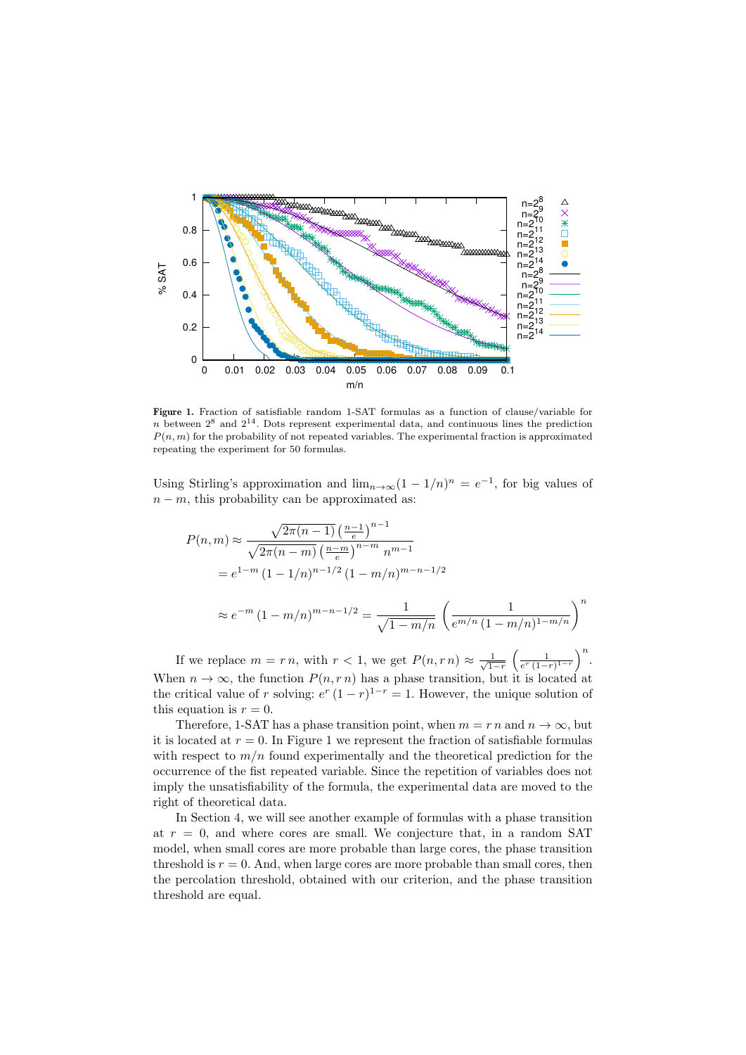

Figure 1. Fraction of satisfiable random 1-SAT formulas as a function of clause/variable for  $n$  between  $2^8$  and  $2^{14}$ . Dots represent experimental data, and continuous lines the prediction  $P(n, m)$  for the probability of not repeated variables. The experimental fraction is approximated repeating the experiment for 50 formulas.

Using Stirling's approximation and  $\lim_{n\to\infty}(1-1/n)^n=e^{-1}$ , for big values of  $n - m$ , this probability can be approximated as:

$$
P(n,m) \approx \frac{\sqrt{2\pi (n-1)} \left(\frac{n-1}{e}\right)^{n-1}}{\sqrt{2\pi (n-m)} \left(\frac{n-m}{e}\right)^{n-m} n^{m-1}}
$$
  
=  $e^{1-m} (1 - 1/n)^{n-1/2} (1 - m/n)^{m-n-1/2}$   
 $\approx e^{-m} (1 - m/n)^{m-n-1/2} = \frac{1}{\sqrt{1 - m/n}} \left(\frac{1}{e^{m/n} (1 - m/n)^{1-m/n}}\right)^n$ 

If we replace  $m = r n$ , with  $r < 1$ , we get  $P(n, r n) \approx \frac{1}{\sqrt{1-r}} \left(\frac{1}{e^r (1-r)^{1-r}}\right)^n$ . When  $n \to \infty$ , the function  $P(n, rn)$  has a phase transition, but it is located at the critical value of r solving:  $e^r (1 - r)^{1 - r} = 1$ . However, the unique solution of this equation is  $r = 0$ .

Therefore, 1-SAT has a phase transition point, when  $m = r n$  and  $n \to \infty$ , but it is located at  $r = 0$ . In Figure 1 we represent the fraction of satisfiable formulas with respect to  $m/n$  found experimentally and the theoretical prediction for the occurrence of the fist repeated variable. Since the repetition of variables does not imply the unsatisfiability of the formula, the experimental data are moved to the right of theoretical data.

In Section 4, we will see another example of formulas with a phase transition at  $r = 0$ , and where cores are small. We conjecture that, in a random SAT model, when small cores are more probable than large cores, the phase transition threshold is  $r = 0$ . And, when large cores are more probable than small cores, then the percolation threshold, obtained with our criterion, and the phase transition threshold are equal.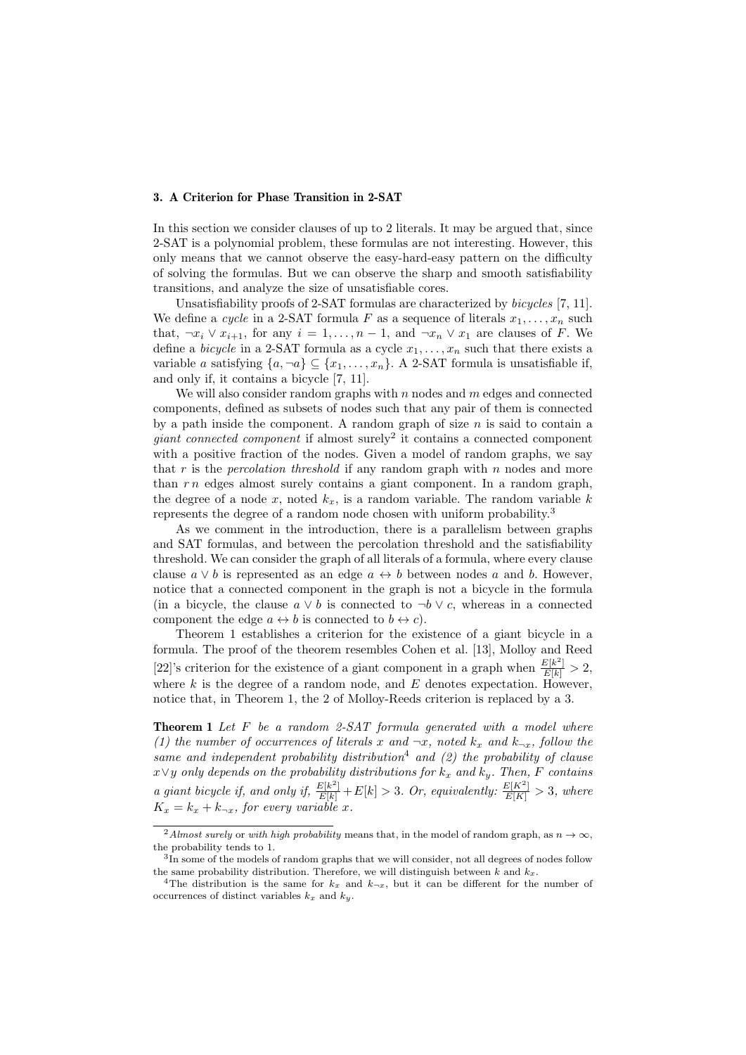# 3. A Criterion for Phase Transition in 2-SAT

In this section we consider clauses of up to 2 literals. It may be argued that, since 2-SAT is a polynomial problem, these formulas are not interesting. However, this only means that we cannot observe the easy-hard-easy pattern on the difficulty of solving the formulas. But we can observe the sharp and smooth satisfiability transitions, and analyze the size of unsatisfiable cores.

Unsatisfiability proofs of 2-SAT formulas are characterized by bicycles [7, 11]. We define a cycle in a 2-SAT formula F as a sequence of literals  $x_1, \ldots, x_n$  such that,  $\neg x_i \lor x_{i+1}$ , for any  $i = 1, \ldots, n-1$ , and  $\neg x_n \lor x_1$  are clauses of F. We define a *bicycle* in a 2-SAT formula as a cycle  $x_1, \ldots, x_n$  such that there exists a variable a satisfying  $\{a, \neg a\} \subset \{x_1, \ldots, x_n\}$ . A 2-SAT formula is unsatisfiable if, and only if, it contains a bicycle [7, 11].

We will also consider random graphs with  $n$  nodes and  $m$  edges and connected components, defined as subsets of nodes such that any pair of them is connected by a path inside the component. A random graph of size  $n$  is said to contain a  $giant$  connected component if almost surely<sup>2</sup> it contains a connected component with a positive fraction of the nodes. Given a model of random graphs, we say that  $r$  is the *percolation threshold* if any random graph with  $n$  nodes and more than  $r n$  edges almost surely contains a giant component. In a random graph, the degree of a node x, noted  $k_x$ , is a random variable. The random variable k represents the degree of a random node chosen with uniform probability.<sup>3</sup>

As we comment in the introduction, there is a parallelism between graphs and SAT formulas, and between the percolation threshold and the satisfiability threshold. We can consider the graph of all literals of a formula, where every clause clause  $a \vee b$  is represented as an edge  $a \leftrightarrow b$  between nodes a and b. However, notice that a connected component in the graph is not a bicycle in the formula (in a bicycle, the clause  $a \vee b$  is connected to  $\neg b \vee c$ , whereas in a connected component the edge  $a \leftrightarrow b$  is connected to  $b \leftrightarrow c$ .

Theorem 1 establishes a criterion for the existence of a giant bicycle in a formula. The proof of the theorem resembles Cohen et al. [13], Molloy and Reed [22]'s criterion for the existence of a giant component in a graph when  $\frac{E[k^2]}{E[k]} > 2$ , where  $k$  is the degree of a random node, and  $E$  denotes expectation. However, notice that, in Theorem 1, the 2 of Molloy-Reeds criterion is replaced by a 3.

**Theorem 1** Let  $F$  be a random 2-SAT formula generated with a model where (1) the number of occurrences of literals x and  $\neg x$ , noted  $k_x$  and  $k_{\neg x}$ , follow the same and independent probability distribution<sup>4</sup> and  $(2)$  the probability of clause  $x\vee y$  only depends on the probability distributions for  $k_x$  and  $k_y$ . Then, F contains a giant bicycle if, and only if,  $\frac{E[k^2]}{E[k]} + E[k] > 3$ . Or, equivalently:  $\frac{E[K^2]}{E[K]} > 3$ , where  $K_x = k_x + k_{\neg x}$ , for every variable x.

<sup>&</sup>lt;sup>2</sup>Almost surely or with high probability means that, in the model of random graph, as  $n \to \infty$ , the probability tends to 1.

<sup>&</sup>lt;sup>3</sup>In some of the models of random graphs that we will consider, not all degrees of nodes follow the same probability distribution. Therefore, we will distinguish between k and  $k_x$ .

<sup>&</sup>lt;sup>4</sup>The distribution is the same for  $k_x$  and  $k_{\neg x}$ , but it can be different for the number of occurrences of distinct variables  $k_x$  and  $k_y$ .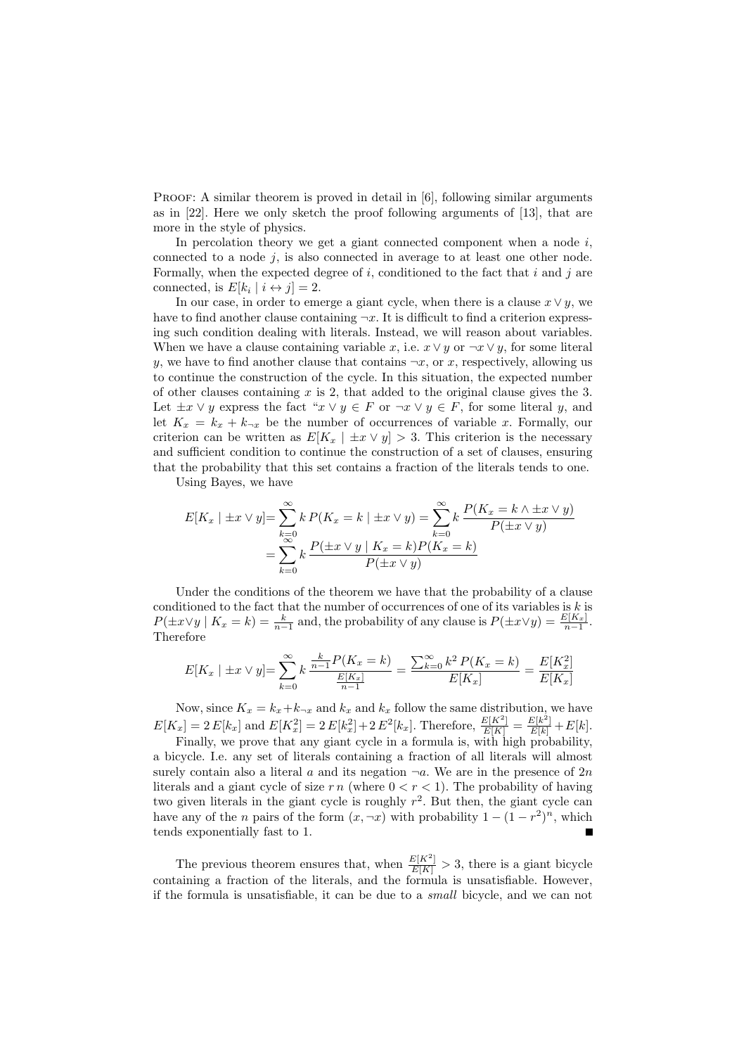PROOF: A similar theorem is proved in detail in [6], following similar arguments as in [22]. Here we only sketch the proof following arguments of [13], that are more in the style of physics.

In percolation theory we get a giant connected component when a node  $i$ , connected to a node  $j$ , is also connected in average to at least one other node. Formally, when the expected degree of i, conditioned to the fact that i and j are connected, is  $E[k_i | i \leftrightarrow j] = 2$ .

In our case, in order to emerge a giant cycle, when there is a clause  $x \vee y$ , we have to find another clause containing  $\neg x$ . It is difficult to find a criterion expressing such condition dealing with literals. Instead, we will reason about variables. When we have a clause containing variable x, i.e.  $x \vee y$  or  $\neg x \vee y$ , for some literal y, we have to find another clause that contains  $\neg x$ , or x, respectively, allowing us to continue the construction of the cycle. In this situation, the expected number of other clauses containing  $x$  is 2, that added to the original clause gives the 3. Let  $\pm x \vee y$  express the fact " $x \vee y \in F$  or  $\neg x \vee y \in F$ , for some literal y, and let  $K_x = k_x + k_{\neg x}$  be the number of occurrences of variable x. Formally, our criterion can be written as  $E[K_x | \pm x \vee y] > 3$ . This criterion is the necessary and sufficient condition to continue the construction of a set of clauses, ensuring that the probability that this set contains a fraction of the literals tends to one.

Using Bayes, we have

$$
E[K_x \mid \pm x \lor y] = \sum_{k=0}^{\infty} k P(K_x = k \mid \pm x \lor y) = \sum_{k=0}^{\infty} k \frac{P(K_x = k \land \pm x \lor y)}{P(\pm x \lor y)}
$$

$$
= \sum_{k=0}^{\infty} k \frac{P(\pm x \lor y \mid K_x = k) P(K_x = k)}{P(\pm x \lor y)}
$$

Under the conditions of the theorem we have that the probability of a clause conditioned to the fact that the number of occurrences of one of its variables is  $k$  is  $P(\pm x \vee y \mid K_x = k) = \frac{k}{n-1}$  and, the probability of any clause is  $P(\pm x \vee y) = \frac{E[K_x]}{n-1}$ . Therefore

$$
E[K_x \mid \pm x \lor y] = \sum_{k=0}^{\infty} k \frac{\frac{k}{n-1} P(K_x = k)}{\frac{E[K_x]}{n-1}} = \frac{\sum_{k=0}^{\infty} k^2 P(K_x = k)}{E[K_x]} = \frac{E[K_x^2]}{E[K_x]}
$$

Now, since  $K_x = k_x + k_{\neg x}$  and  $k_x$  and  $k_x$  follow the same distribution, we have  $E[K_x] = 2 E[k_x]$  and  $E[K_x^2] = 2 E[k_x^2] + 2 E^2[k_x]$ . Therefore,  $\frac{E[K^2]}{E[K]} = \frac{E[k^2]}{E[k]} + E[k]$ .

Finally, we prove that any giant cycle in a formula is, with high probability, a bicycle. I.e. any set of literals containing a fraction of all literals will almost surely contain also a literal a and its negation  $\neg a$ . We are in the presence of  $2n$ literals and a giant cycle of size  $r n$  (where  $0 < r < 1$ ). The probability of having two given literals in the giant cycle is roughly  $r^2$ . But then, the giant cycle can have any of the *n* pairs of the form  $(x, \neg x)$  with probability  $1 - (1 - r^2)^n$ , which tends exponentially fast to 1.

The previous theorem ensures that, when  $\frac{E[K^2]}{E[K]} > 3$ , there is a giant bicycle containing a fraction of the literals, and the formula is unsatisfiable. However, if the formula is unsatisfiable, it can be due to a small bicycle, and we can not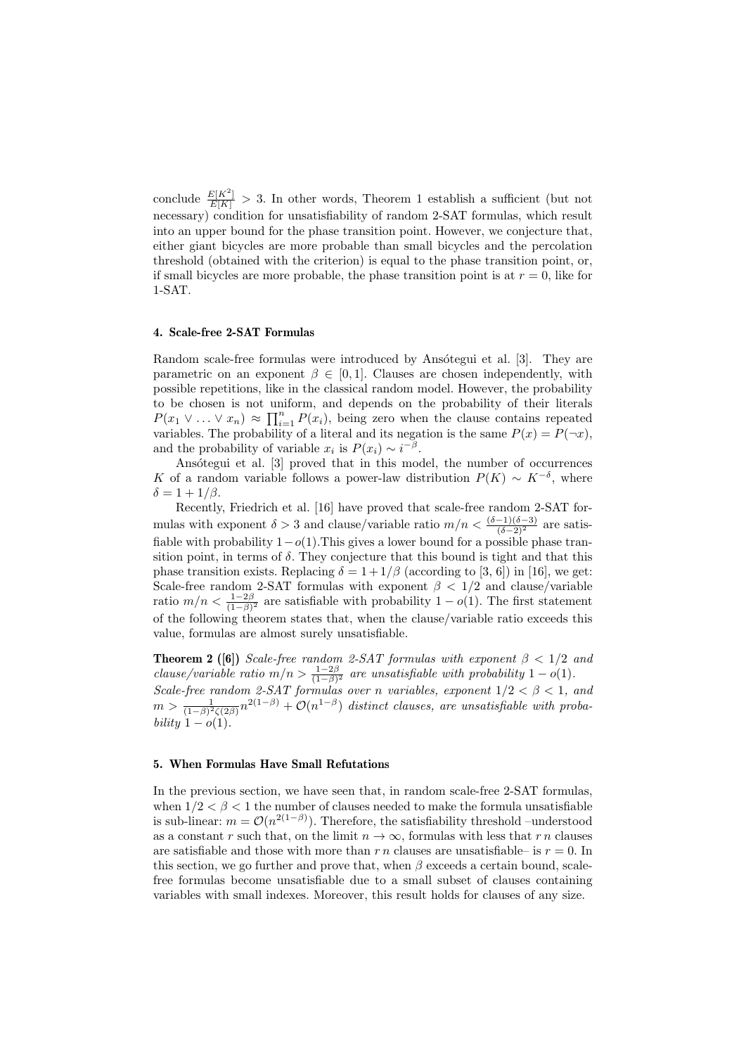conclude  $\frac{E[K^2]}{E[K]} > 3$ . In other words, Theorem 1 establish a sufficient (but not necessary) condition for unsatisfiability of random 2-SAT formulas, which result into an upper bound for the phase transition point. However, we conjecture that, either giant bicycles are more probable than small bicycles and the percolation threshold (obtained with the criterion) is equal to the phase transition point, or, if small bicycles are more probable, the phase transition point is at  $r = 0$ , like for 1-SAT.

# 4. Scale-free 2-SAT Formulas

Random scale-free formulas were introduced by Ansotegui et al. [3]. They are parametric on an exponent  $\beta \in [0,1]$ . Clauses are chosen independently, with possible repetitions, like in the classical random model. However, the probability to be chosen is not uniform, and depends on the probability of their literals  $P(x_1 \vee \ldots \vee x_n) \approx \prod_{i=1}^n P(x_i)$ , being zero when the clause contains repeated variables. The probability of a literal and its negation is the same  $P(x) = P(\neg x)$ , and the probability of variable  $x_i$  is  $P(x_i) \sim i^{-\beta}$ .

Ansótegui et al. [3] proved that in this model, the number of occurrences K of a random variable follows a power-law distribution  $P(K) \sim K^{-\delta}$ , where  $\delta = 1 + 1/\beta.$ 

Recently, Friedrich et al. [16] have proved that scale-free random 2-SAT formulas with exponent  $\delta > 3$  and clause/variable ratio  $m/n < \frac{(\delta - 1)(\delta - 3)}{(\delta - 2)^2}$  are satisfiable with probability  $1-o(1)$ . This gives a lower bound for a possible phase transition point, in terms of  $\delta$ . They conjecture that this bound is tight and that this phase transition exists. Replacing  $\delta = 1 + 1/\beta$  (according to [3, 6]) in [16], we get: Scale-free random 2-SAT formulas with exponent  $\beta$  < 1/2 and clause/variable ratio  $m/n < \frac{1-2\beta}{(1-\beta)^2}$  are satisfiable with probability  $1-o(1)$ . The first statement of the following theorem states that, when the clause/variable ratio exceeds this value, formulas are almost surely unsatisfiable.

**Theorem 2 ([6])** Scale-free random 2-SAT formulas with exponent  $\beta$  < 1/2 and clause/variable ratio  $m/n > \frac{1-2\beta}{(1-\beta)^2}$  are unsatisfiable with probability  $1-o(1)$ . Scale-free random 2-SAT formulas over n variables, exponent  $1/2 < \beta < 1$ , and  $m > \frac{1}{(1-\beta)^2\zeta(2\beta)}n^{2(1-\beta)} + \mathcal{O}(n^{1-\beta})$  distinct clauses, are unsatisfiable with probability  $1 - o(1)$ .

### 5. When Formulas Have Small Refutations

In the previous section, we have seen that, in random scale-free 2-SAT formulas, when  $1/2 < \beta < 1$  the number of clauses needed to make the formula unsatisfiable is sub-linear:  $m = \mathcal{O}(n^{2(1-\beta)})$ . Therefore, the satisfiability threshold –understood as a constant r such that, on the limit  $n \to \infty$ , formulas with less that r n clauses are satisfiable and those with more than r n clauses are unsatisfiable– is  $r = 0$ . In this section, we go further and prove that, when  $\beta$  exceeds a certain bound, scalefree formulas become unsatisfiable due to a small subset of clauses containing variables with small indexes. Moreover, this result holds for clauses of any size.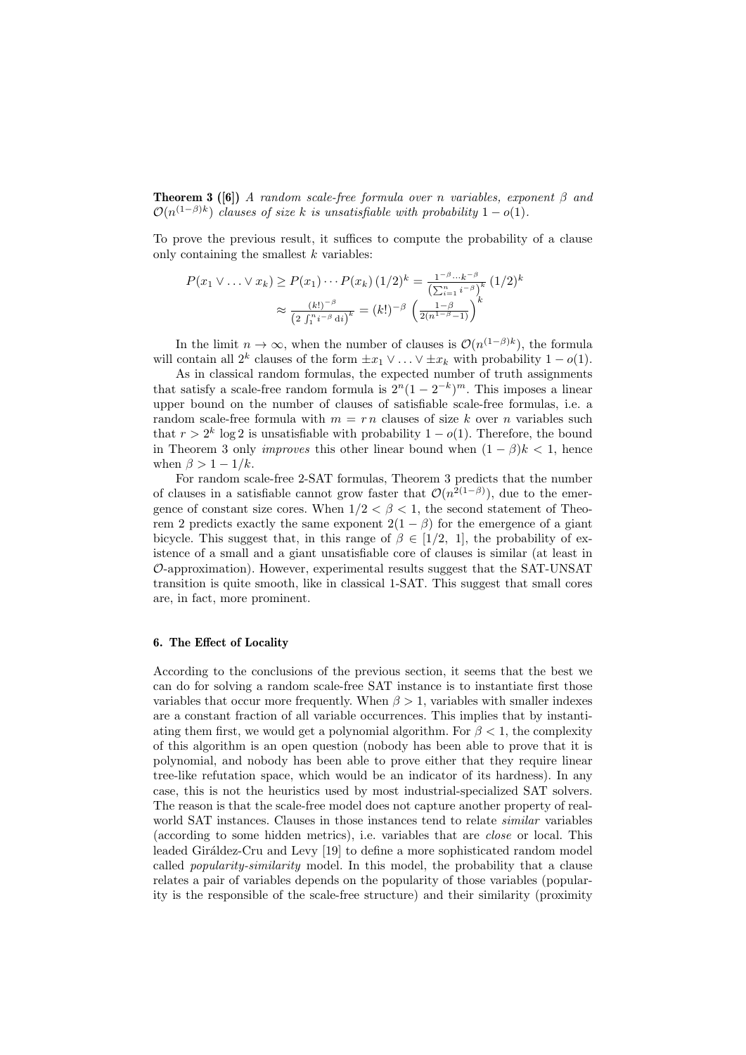**Theorem 3** ([6]) A random scale-free formula over n variables, exponent  $\beta$  and  $\mathcal{O}(n^{(1-\beta)k})$  clauses of size k is unsatisfiable with probability  $1-o(1)$ .

To prove the previous result, it suffices to compute the probability of a clause only containing the smallest  $k$  variables:

$$
P(x_1 \vee \ldots \vee x_k) \ge P(x_1) \cdots P(x_k) (1/2)^k = \frac{1^{-\beta} \cdots k^{-\beta}}{\left(\sum_{i=1}^n i^{-\beta}\right)^k} (1/2)^k
$$

$$
\approx \frac{(k!)^{-\beta}}{\left(2 \int_1^{n} i^{-\beta} \, \mathrm{d}i\right)^k} = (k!)^{-\beta} \left(\frac{1-\beta}{2(n^{1-\beta}-1)}\right)^k
$$

In the limit  $n \to \infty$ , when the number of clauses is  $\mathcal{O}(n^{(1-\beta)k})$ , the formula will contain all  $2^k$  clauses of the form  $\pm x_1 \vee \ldots \vee \pm x_k$  with probability  $1 - o(1)$ .

As in classical random formulas, the expected number of truth assignments that satisfy a scale-free random formula is  $2^{n}(1-2^{-k})^{m}$ . This imposes a linear upper bound on the number of clauses of satisfiable scale-free formulas, i.e. a random scale-free formula with  $m = r n$  clauses of size k over n variables such that  $r > 2^k \log 2$  is unsatisfiable with probability  $1 - o(1)$ . Therefore, the bound in Theorem 3 only *improves* this other linear bound when  $(1 - \beta)k < 1$ , hence when  $\beta > 1 - 1/k$ .

For random scale-free 2-SAT formulas, Theorem 3 predicts that the number of clauses in a satisfiable cannot grow faster that  $\mathcal{O}(n^{2(1-\beta)})$ , due to the emergence of constant size cores. When  $1/2 < \beta < 1$ , the second statement of Theorem 2 predicts exactly the same exponent  $2(1 - \beta)$  for the emergence of a giant bicycle. This suggest that, in this range of  $\beta \in [1/2, 1]$ , the probability of existence of a small and a giant unsatisfiable core of clauses is similar (at least in O-approximation). However, experimental results suggest that the SAT-UNSAT transition is quite smooth, like in classical 1-SAT. This suggest that small cores are, in fact, more prominent.

#### 6. The Effect of Locality

According to the conclusions of the previous section, it seems that the best we can do for solving a random scale-free SAT instance is to instantiate first those variables that occur more frequently. When  $\beta > 1$ , variables with smaller indexes are a constant fraction of all variable occurrences. This implies that by instantiating them first, we would get a polynomial algorithm. For  $\beta < 1$ , the complexity of this algorithm is an open question (nobody has been able to prove that it is polynomial, and nobody has been able to prove either that they require linear tree-like refutation space, which would be an indicator of its hardness). In any case, this is not the heuristics used by most industrial-specialized SAT solvers. The reason is that the scale-free model does not capture another property of realworld SAT instances. Clauses in those instances tend to relate *similar* variables (according to some hidden metrics), i.e. variables that are close or local. This leaded Giráldez-Cru and Levy [19] to define a more sophisticated random model called popularity-similarity model. In this model, the probability that a clause relates a pair of variables depends on the popularity of those variables (popularity is the responsible of the scale-free structure) and their similarity (proximity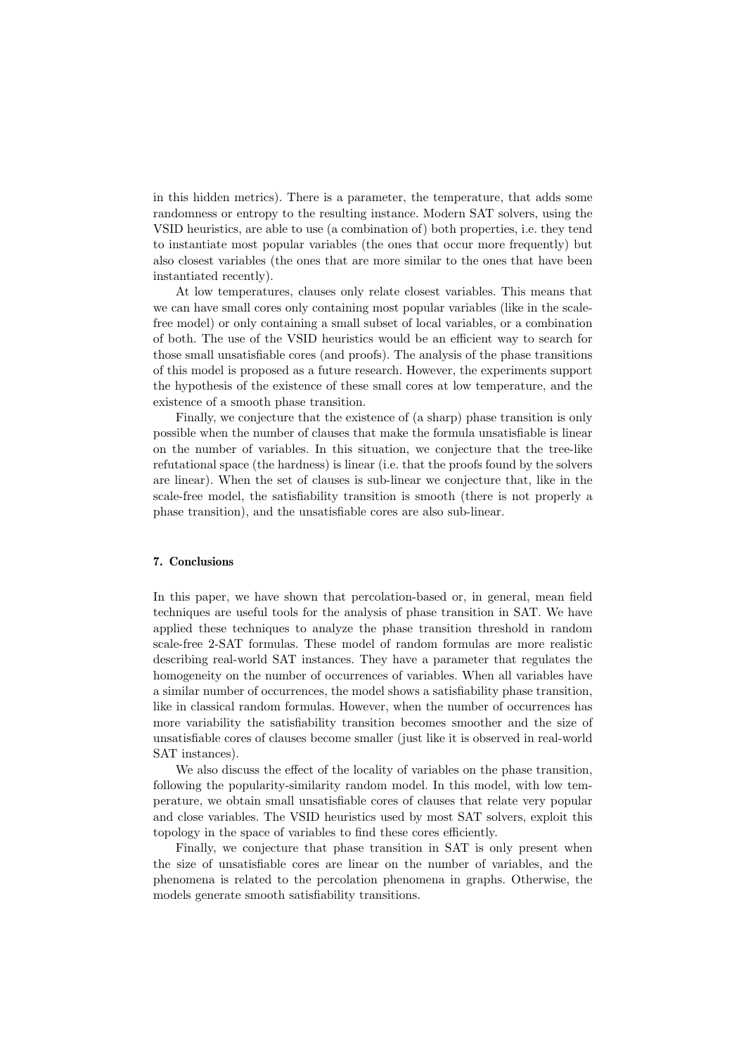in this hidden metrics). There is a parameter, the temperature, that adds some randomness or entropy to the resulting instance. Modern SAT solvers, using the VSID heuristics, are able to use (a combination of) both properties, i.e. they tend to instantiate most popular variables (the ones that occur more frequently) but also closest variables (the ones that are more similar to the ones that have been instantiated recently).

At low temperatures, clauses only relate closest variables. This means that we can have small cores only containing most popular variables (like in the scalefree model) or only containing a small subset of local variables, or a combination of both. The use of the VSID heuristics would be an efficient way to search for those small unsatisfiable cores (and proofs). The analysis of the phase transitions of this model is proposed as a future research. However, the experiments support the hypothesis of the existence of these small cores at low temperature, and the existence of a smooth phase transition.

Finally, we conjecture that the existence of (a sharp) phase transition is only possible when the number of clauses that make the formula unsatisfiable is linear on the number of variables. In this situation, we conjecture that the tree-like refutational space (the hardness) is linear (i.e. that the proofs found by the solvers are linear). When the set of clauses is sub-linear we conjecture that, like in the scale-free model, the satisfiability transition is smooth (there is not properly a phase transition), and the unsatisfiable cores are also sub-linear.

### 7. Conclusions

In this paper, we have shown that percolation-based or, in general, mean field techniques are useful tools for the analysis of phase transition in SAT. We have applied these techniques to analyze the phase transition threshold in random scale-free 2-SAT formulas. These model of random formulas are more realistic describing real-world SAT instances. They have a parameter that regulates the homogeneity on the number of occurrences of variables. When all variables have a similar number of occurrences, the model shows a satisfiability phase transition, like in classical random formulas. However, when the number of occurrences has more variability the satisfiability transition becomes smoother and the size of unsatisfiable cores of clauses become smaller (just like it is observed in real-world SAT instances).

We also discuss the effect of the locality of variables on the phase transition, following the popularity-similarity random model. In this model, with low temperature, we obtain small unsatisfiable cores of clauses that relate very popular and close variables. The VSID heuristics used by most SAT solvers, exploit this topology in the space of variables to find these cores efficiently.

Finally, we conjecture that phase transition in SAT is only present when the size of unsatisfiable cores are linear on the number of variables, and the phenomena is related to the percolation phenomena in graphs. Otherwise, the models generate smooth satisfiability transitions.